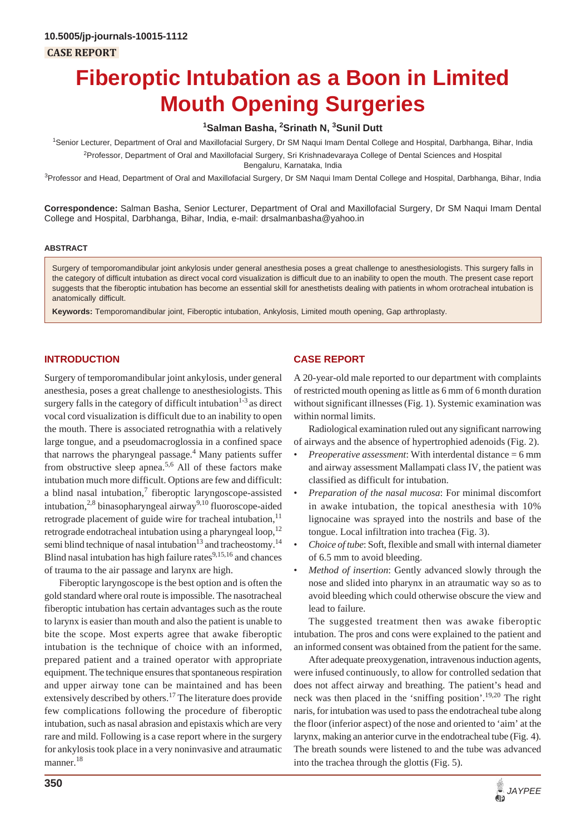# **Fiberoptic Intubation as a Boon in Limited Mouth Opening Surgeries**

## **1 Salman Basha, 2 Srinath N, 3 Sunil Dutt**

1 Senior Lecturer, Department of Oral and Maxillofacial Surgery, Dr SM Naqui Imam Dental College and Hospital, Darbhanga, Bihar, India 2 Professor, Department of Oral and Maxillofacial Surgery, Sri Krishnadevaraya College of Dental Sciences and Hospital Bengaluru, Karnataka, India

<sup>3</sup>Professor and Head, Department of Oral and Maxillofacial Surgery, Dr SM Naqui Imam Dental College and Hospital, Darbhanga, Bihar, India

**Correspondence:** Salman Basha, Senior Lecturer, Department of Oral and Maxillofacial Surgery, Dr SM Naqui Imam Dental College and Hospital, Darbhanga, Bihar, India, e-mail: drsalmanbasha@yahoo.in

#### **ABSTRACT**

Surgery of temporomandibular joint ankylosis under general anesthesia poses a great challenge to anesthesiologists. This surgery falls in the category of difficult intubation as direct vocal cord visualization is difficult due to an inability to open the mouth. The present case report suggests that the fiberoptic intubation has become an essential skill for anesthetists dealing with patients in whom orotracheal intubation is anatomically difficult.

**Keywords:** Temporomandibular joint, Fiberoptic intubation, Ankylosis, Limited mouth opening, Gap arthroplasty.

### **INTRODUCTION**

Surgery of temporomandibular joint ankylosis, under general anesthesia, poses a great challenge to anesthesiologists. This surgery falls in the category of difficult intubation $1-3$  as direct vocal cord visualization is difficult due to an inability to open the mouth. There is associated retrognathia with a relatively large tongue, and a pseudomacroglossia in a confined space that narrows the pharyngeal passage.<sup>4</sup> Many patients suffer from obstructive sleep apnea.<sup>5,6</sup> All of these factors make intubation much more difficult. Options are few and difficult: a blind nasal intubation, $\frac{7}{1}$  fiberoptic laryngoscope-assisted intubation,<sup>2,8</sup> binasopharyngeal airway<sup>9,10</sup> fluoroscope-aided retrograde placement of guide wire for tracheal intubation,<sup>11</sup> retrograde endotracheal intubation using a pharyngeal loop, $12$ semi blind technique of nasal intubation<sup>13</sup> and tracheostomy.<sup>14</sup> Blind nasal intubation has high failure rates $9,15,16$  and chances of trauma to the air passage and larynx are high.

Fiberoptic laryngoscope is the best option and is often the gold standard where oral route is impossible. The nasotracheal fiberoptic intubation has certain advantages such as the route to larynx is easier than mouth and also the patient is unable to bite the scope. Most experts agree that awake fiberoptic intubation is the technique of choice with an informed, prepared patient and a trained operator with appropriate equipment. The technique ensures that spontaneous respiration and upper airway tone can be maintained and has been extensively described by others.<sup>17</sup> The literature does provide few complications following the procedure of fiberoptic intubation, such as nasal abrasion and epistaxis which are very rare and mild. Following is a case report where in the surgery for ankylosis took place in a very noninvasive and atraumatic manner.<sup>18</sup>

#### **CASE REPORT**

A 20-year-old male reported to our department with complaints of restricted mouth opening as little as 6 mm of 6 month duration without significant illnesses (Fig. 1). Systemic examination was within normal limits.

Radiological examination ruled out any significant narrowing of airways and the absence of hypertrophied adenoids (Fig. 2).

- *Preoperative assessment*: With interdental distance = 6 mm and airway assessment Mallampati class IV, the patient was classified as difficult for intubation.
- *Preparation of the nasal mucosa*: For minimal discomfort in awake intubation, the topical anesthesia with 10% lignocaine was sprayed into the nostrils and base of the tongue. Local infiltration into trachea (Fig. 3).
- *Choice of tube*: Soft, flexible and small with internal diameter of 6.5 mm to avoid bleeding.
- *Method of insertion*: Gently advanced slowly through the nose and slided into pharynx in an atraumatic way so as to avoid bleeding which could otherwise obscure the view and lead to failure.

The suggested treatment then was awake fiberoptic intubation. The pros and cons were explained to the patient and an informed consent was obtained from the patient for the same.

After adequate preoxygenation, intravenous induction agents, were infused continuously, to allow for controlled sedation that does not affect airway and breathing. The patient's head and neck was then placed in the 'sniffing position'.<sup>19,20</sup> The right naris, for intubation was used to pass the endotracheal tube along the floor (inferior aspect) of the nose and oriented to 'aim' at the larynx, making an anterior curve in the endotracheal tube (Fig. 4). The breath sounds were listened to and the tube was advanced into the trachea through the glottis (Fig. 5).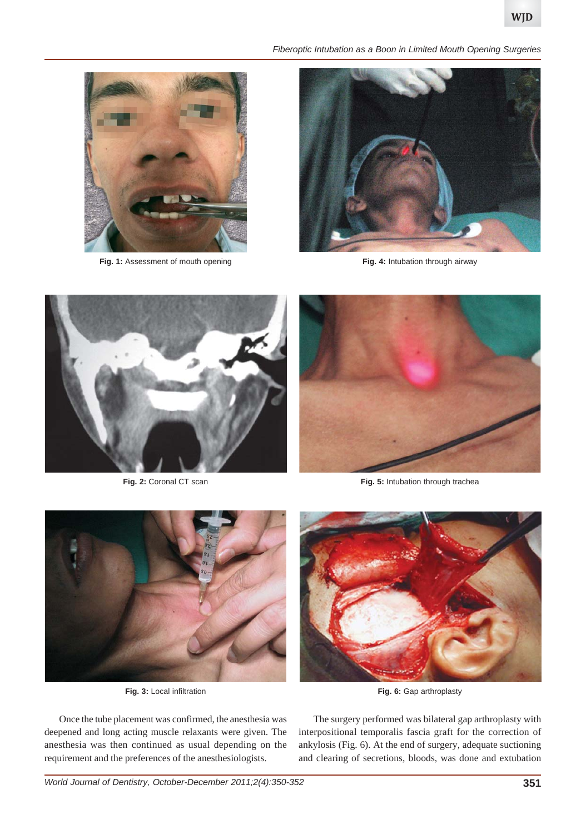



Fig. 1: Assessment of mouth opening



**Fig. 4:** Intubation through airway



**Fig. 2:** Coronal CT scan



**Fig. 5:** Intubation through trachea



**Fig. 3:** Local infiltration

Once the tube placement was confirmed, the anesthesia was deepened and long acting muscle relaxants were given. The anesthesia was then continued as usual depending on the requirement and the preferences of the anesthesiologists.

**Fig. 6:** Gap arthroplasty

The surgery performed was bilateral gap arthroplasty with interpositional temporalis fascia graft for the correction of ankylosis (Fig. 6). At the end of surgery, adequate suctioning and clearing of secretions, bloods, was done and extubation